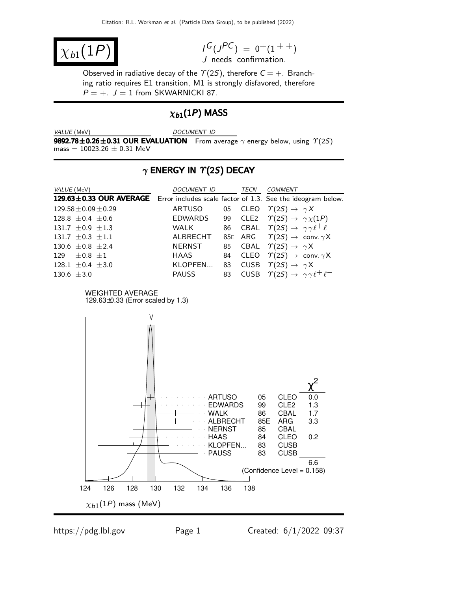$$
\chi_{b1}(1P)
$$

$$
I^G(J^{PC}) = 0^+(1^{++})
$$
  
J needs confirmation.

Observed in radiative decay of the  $\Upsilon(2S)$ , therefore  $C = +$ . Branching ratio requires E1 transition, M1 is strongly disfavored, therefore  $P = +$ .  $J = 1$  from SKWARNICKI 87.

# $\chi_{b1}(1P)$  MASS

VALUE (MeV) DOCUMENT ID

**9892.78±0.26±0.31 OUR EVALUATION** From average  $\gamma$  energy below, using  $\Upsilon(2S)$  $mass = 10023.26 \pm 0.31$  MeV

### $\gamma$  ENERGY IN  $\Upsilon(2S)$  DECAY

| VALUE (MeV)                                                                         | DOCUMENT ID        | TECN    | <b>COMMENT</b>                                                                     |
|-------------------------------------------------------------------------------------|--------------------|---------|------------------------------------------------------------------------------------|
| 129.63±0.33 OUR AVERAGE Error includes scale factor of 1.3. See the ideogram below. |                    |         |                                                                                    |
| $129.58 \pm 0.09 \pm 0.29$                                                          | ARTUSO             |         | 05 CLEO $\Upsilon(2S) \rightarrow \gamma X$                                        |
| 128.8 $\pm$ 0.4 $\pm$ 0.6                                                           | <b>EDWARDS</b>     | 99 CLE2 | $\gamma(2S) \rightarrow \gamma \chi(1P)$                                           |
| 131.7 $\pm$ 0.9 $\pm$ 1.3                                                           | <b>WALK</b><br>86  |         | CBAL $\Upsilon(2S) \rightarrow \gamma \gamma \ell^+ \ell^-$                        |
| 131.7 $\pm$ 0.3 $\pm$ 1.1                                                           | ALBRECHT           |         | 85E ARG $\qquad \  \  \Upsilon(2S) \rightarrow \ \mathsf{conv.} \gamma \mathsf{X}$ |
| 130.6 $\pm$ 0.8 $\pm$ 2.4                                                           | NERNST             |         | 85 CBAL $\Upsilon(2S) \rightarrow \gamma X$                                        |
| 129 $\pm 0.8 \pm 1$                                                                 | HAAS<br>84         |         | CLEO $\ \ \Upsilon(2S) \rightarrow \ \mathsf{conv.}\ \gamma\mathsf{X}$             |
| 128.1 $\pm$ 0.4 $\pm$ 3.0                                                           | KLOPFEN 83         |         | CUSB $\Upsilon(2S) \rightarrow \gamma X$                                           |
| $130.6 \pm 3.0$                                                                     | <b>PAUSS</b><br>83 |         | CUSB $\Upsilon(2S) \rightarrow \gamma \gamma \ell^+ \ell^-$                        |

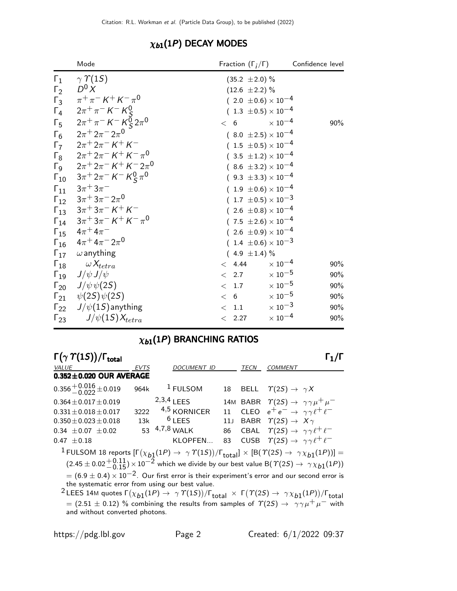|                                                                                              | Mode                                                                                                                                                                                                                                                                                                                                                                                                                                                                                                                                                                                                                                                                                                                                                                                                                                                                                                             | Fraction $(\Gamma_i/\Gamma)$                                                                                                                                                                                                                                                                                                                                                                                                                                                                                                  | Confidence level |
|----------------------------------------------------------------------------------------------|------------------------------------------------------------------------------------------------------------------------------------------------------------------------------------------------------------------------------------------------------------------------------------------------------------------------------------------------------------------------------------------------------------------------------------------------------------------------------------------------------------------------------------------------------------------------------------------------------------------------------------------------------------------------------------------------------------------------------------------------------------------------------------------------------------------------------------------------------------------------------------------------------------------|-------------------------------------------------------------------------------------------------------------------------------------------------------------------------------------------------------------------------------------------------------------------------------------------------------------------------------------------------------------------------------------------------------------------------------------------------------------------------------------------------------------------------------|------------------|
| $\Gamma_1$<br>$\Gamma_2$<br>$\Gamma_4$<br>$\Gamma_5$<br>$\Gamma_6$<br>$\Gamma$<br>$\Gamma_8$ | $\gamma \; \gamma \; \gamma(1S)$<br>$D^0 X$<br>$\Gamma_3$ $\pi^+\pi^- K^+ K^- \pi^0$<br>$2\pi^{+}\pi^{-}$ K $^{-}$ K $_{S}^{0}$<br>$2\pi^{+}\pi^{-}$ K $^{-}$ K $^{0}_{S}$ $2\pi^{0}$<br>$2\pi + 2\pi - 2\pi^0$<br>$2\pi$ <sup>+</sup> $2\pi$ <sup>-</sup> $K$ <sup>+</sup> $K$ <sup>-</sup><br>$2\pi^+2\pi^-$ K $^+$ K $^ \pi^0$<br>$\Gamma_9$ $2\pi^+ 2\pi^- K^+ K^- 2\pi^0$<br>$\Gamma_{10}$ $3\pi$ <sup>+</sup> $2\pi$ <sup>-</sup> $K$ <sup>-</sup> $K$ <sup>0</sup> $\pi$ <sup>0</sup><br>$\Gamma_{11}$ $3\pi + 3\pi$<br>$\Gamma_{12}$ $3\pi^+3\pi^-2\pi^0$<br>$\Gamma_{13}$ $3\pi$ <sup>+</sup> $3\pi$ <sup>-</sup> $K$ <sup>+</sup> $K$ <sup>-</sup><br>$\Gamma_{14}$ $3\pi$ <sup>+</sup> $3\pi$ <sup>-</sup> $K$ <sup>+</sup> $K$ <sup>-</sup> $\pi$ <sup>0</sup><br>$\Gamma_{15}$ $4\pi$ <sup>+</sup> $4\pi$ <sup>-</sup><br>$\Gamma_{16}$ $4\pi$ <sup>+</sup> $4\pi$ <sup>-</sup> $2\pi$ <sup>0</sup> | $(35.2 \pm 2.0)\%$<br>$(12.6 \pm 2.2)\%$<br>$(2.0 \pm 0.6) \times 10^{-4}$<br>$(1.3 \pm 0.5) \times 10^{-4}$<br>$< 6$ $\times 10^{-4}$<br>$(8.0 \pm 2.5) \times 10^{-4}$<br>$(1.5 \pm 0.5) \times 10^{-4}$<br>$(.3.5 \pm 1.2) \times 10^{-4}$<br>$(8.6 \pm 3.2) \times 10^{-4}$<br>$(9.3 \pm 3.3) \times 10^{-4}$<br>$(1.9 \pm 0.6) \times 10^{-4}$<br>$(1.7 \pm 0.5) \times 10^{-3}$<br>$(2.6 \pm 0.8) \times 10^{-4}$<br>$(7.5 \pm 2.6) \times 10^{-4}$<br>$(2.6 \pm 0.9) \times 10^{-4}$<br>$(1.4 \pm 0.6) \times 10^{-3}$ | 90%              |
|                                                                                              | $\Gamma_{17}$ $\omega$ anything                                                                                                                                                                                                                                                                                                                                                                                                                                                                                                                                                                                                                                                                                                                                                                                                                                                                                  | $(4.9 \pm 1.4)\%$                                                                                                                                                                                                                                                                                                                                                                                                                                                                                                             |                  |
|                                                                                              | $\Gamma_{18}$ $\omega X_{tetra}$                                                                                                                                                                                                                                                                                                                                                                                                                                                                                                                                                                                                                                                                                                                                                                                                                                                                                 | $< 4.44 \times 10^{-4}$                                                                                                                                                                                                                                                                                                                                                                                                                                                                                                       | 90%              |
|                                                                                              | $\Gamma_{19}$ $J/\psi J/\psi$                                                                                                                                                                                                                                                                                                                                                                                                                                                                                                                                                                                                                                                                                                                                                                                                                                                                                    | $< 2.7 \times 10^{-5}$                                                                                                                                                                                                                                                                                                                                                                                                                                                                                                        | 90%              |
|                                                                                              | $\Gamma_{20}$ $J/\psi \psi(2S)$                                                                                                                                                                                                                                                                                                                                                                                                                                                                                                                                                                                                                                                                                                                                                                                                                                                                                  | $< 1.7 \times 10^{-5}$                                                                                                                                                                                                                                                                                                                                                                                                                                                                                                        | 90%              |
|                                                                                              | $\Gamma_{21}$ $\psi(2S)\psi(2S)$                                                                                                                                                                                                                                                                                                                                                                                                                                                                                                                                                                                                                                                                                                                                                                                                                                                                                 | $< 6$ $\times 10^{-5}$                                                                                                                                                                                                                                                                                                                                                                                                                                                                                                        | 90%              |
|                                                                                              | $\Gamma_{22}$ J/ $\psi(1S)$ anything                                                                                                                                                                                                                                                                                                                                                                                                                                                                                                                                                                                                                                                                                                                                                                                                                                                                             | $< 1.1 \times 10^{-3}$                                                                                                                                                                                                                                                                                                                                                                                                                                                                                                        | 90%              |
|                                                                                              | $\Gamma_{23}$ $J/\psi(1S)X_{tetra}$                                                                                                                                                                                                                                                                                                                                                                                                                                                                                                                                                                                                                                                                                                                                                                                                                                                                              | $< 2.27 \times 10^{-4}$                                                                                                                                                                                                                                                                                                                                                                                                                                                                                                       | 90%              |

### $\chi_{b1}(1P)$  DECAY MODES

# $\chi_{b1}(1P)$  BRANCHING RATIOS

| $\Gamma(\gamma \Upsilon(15))/\Gamma_{\text{total}}$ |      |                    |     |      |                                                               |  |
|-----------------------------------------------------|------|--------------------|-----|------|---------------------------------------------------------------|--|
| VALUE                                               | EVTS | <b>DOCUMENT ID</b> |     | TECN | <b>COMMENT</b>                                                |  |
| $0.352 \pm 0.020$ OUR AVERAGE                       |      |                    |     |      |                                                               |  |
| $0.356 + 0.016 + 0.019$                             | 964k | $1$ FULSOM         | 18  |      | BELL $\Upsilon(2S) \rightarrow \gamma X$                      |  |
| $0.364 \pm 0.017 \pm 0.019$                         |      | $2,3,4$ LEES       |     |      | 14M BABR $\Upsilon(2S) \rightarrow \gamma \gamma \mu^+ \mu^-$ |  |
| $0.331 \pm 0.018 \pm 0.017$                         | 3222 | 4,5 KORNICER       |     |      | 11 CLEO $e^+e^- \rightarrow \gamma \gamma \ell^+ \ell^-$      |  |
| $0.350 \pm 0.023 \pm 0.018$                         | 13k  | $6$ LEES           | 11J |      | BABR $\Upsilon(2S) \rightarrow X\gamma$                       |  |
| $0.34 \pm 0.07 \pm 0.02$                            |      | 53 $4,7,8$ WALK    | 86  |      | CBAL $\tau(2S) \rightarrow \gamma \gamma \ell^+ \ell^-$       |  |
| $0.47 \pm 0.18$                                     |      | KLOPFEN            | 83  |      | CUSB $\Upsilon(2S) \rightarrow \gamma \gamma \ell^+ \ell^-$   |  |

<sup>1</sup> FULSOM 18 reports  $[\Gamma(\chi_{b1}(1P) \to \gamma \Upsilon(1S))/\Gamma_{\text{total}}] \times [B(\Upsilon(2S) \to \gamma \chi_{b1}(1P))] =$  $(2.45 \pm 0.02 + 0.11) \times 10^{-2}$  which we divide by our best value B( $\Upsilon(2S) \rightarrow \Upsilon(1P)$ )  $= (6.9 \pm 0.4) \times 10^{-2}$ . Our first error is their experiment's error and our second error is the systematic error from using our best value.

 $^2$ LEES 14M quotes Γ $(\chi_{b1}(1P) \to \ \gamma\ \Upsilon(1S))/\Gamma_{\rm total} \ \times \ \Gamma(\ \Upsilon(2S) \to \ \gamma\chi_{b1}(1P))/\Gamma_{\rm total}$  $=$  (2.51  $\pm$  0.12) % combining the results from samples of  $\gamma(2S) \rightarrow \gamma \gamma \mu^+ \mu^-$  with and without converted photons.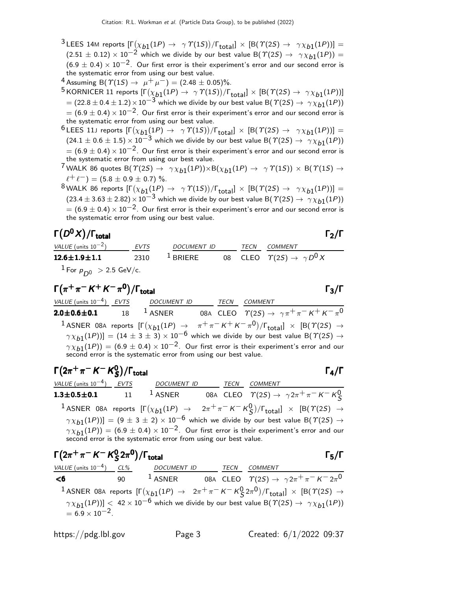- $^3$ LEES 14M reports  $[\Gamma(\chi_{b1}(1P) \to \gamma \varUpsilon(1S))/\Gamma_{\text{total}}] \times [B(\varUpsilon(2S) \to \gamma \chi_{b1}(1P))] =$  $(2.51 \pm 0.12) \times 10^{-2}$  which we divide by our best value B( $\Upsilon(25) \rightarrow \gamma \chi_{b1}(1P)$ ) =  $(6.9 \pm 0.4) \times 10^{-2}$ . Our first error is their experiment's error and our second error is the systematic error from using our best value.
- 4 Assuming B( $\mathcal{T}(15) \rightarrow \mu^+ \mu^-$ ) = (2.48 ± 0.05)%.
- $^5$ KORNICER 11 reports  $[\Gamma(\chi_{b1}(1P) \to \ \gamma\ \Upsilon(1S))/\Gamma_{\text{total}}] \times [ \textsf{B}(\ \Upsilon(2S) \to \ \gamma\chi_{b1}(1P))]$  $= (22.8 \pm 0.4 \pm 1.2) \times 10^{-3}$  which we divide by our best value B( $\hat{T}(2S) \rightarrow \gamma \chi_{b1}(1P)$ )  $= (6.9 \pm 0.4) \times 10^{-2}$ . Our first error is their experiment's error and our second error is the systematic error from using our best value.
- $^6$ LEES 11J reports  $[\Gamma(\chi_{b1}(1P) \rightarrow \gamma \varUpsilon(1S))/\Gamma_{\mathrm{total}}] \times [B(\varUpsilon(2S) \rightarrow \gamma \chi_{b1}(1P))] =$  $(24.1 \pm 0.6 \pm 1.5) \times 10^{-3}$  which we divide by our best value B( $\Upsilon(25) \rightarrow \gamma \chi_{b1}(1P)$ )  $= (6.9 \pm 0.4) \times 10^{-2}$ . Our first error is their experiment's error and our second error is the systematic error from using our best value.
- $^7$ WALK 86 quotes B $(\varUpsilon(2S) \to -\gamma \chi_{b1}(1P)) \times {\rm B}(\chi_{b1}(1P) \to -\gamma \varUpsilon(1S)) \times {\rm B}(\varUpsilon(1S) \to 0)$  $\ell^+ \ell^-$ ) = (5.8  $\pm$  0.9  $\pm$  0.7) %.
- $^8$ WALK 86 reports  $[\Gamma(\chi_{b1}(1P) \to \gamma \Upsilon(1S))/\Gamma_{\text{total}}] \times [B(\Upsilon(2S) \to \gamma \chi_{b1}(1P))] =$  $(23.4 \pm 3.63 \pm 2.82) \times 10^{-3}$  which we divide by our best value B( $\Upsilon(2S) \rightarrow \gamma \chi_{b1}(1P)$ )  $= (6.9 \pm 0.4) \times 10^{-2}$ . Our first error is their experiment's error and our second error is the systematic error from using our best value.

#### Γ $(D<sup>0</sup>X)/\Gamma_{\text{total}}$  Γ $_2/\Gamma$ /Γ $_{\rm total}$ Γ $_{\rm 2/}$ Γ

VALUE (units  $10^{-2}$ ) EVTS DOCUMENT ID TECN COMMENT  ${\bf 12.6{\pm}1.9{\pm}1.1} \hspace{1.5cm} 2310 \hspace{1.5cm} 1$  briere  $0$ 8 cleo  $\varUpsilon(2S) \rightarrow \ \gamma \, D^0 \, X$  $1$  For  $p_{D^0} > 2.5$  GeV/c.

$$
\Gamma(\pi^+\pi^-K^+K^-\pi^0)/\Gamma_{\text{total}}
$$

VALUE (units 10<sup>-4</sup>) <u>EVTS</u> DOCUMENT ID TECN COMMENT  $2.0\pm0.6\pm0.1$  18  $^1$  Asner 08a cleo  $\varUpsilon(2S) \to \ \gamma \pi^+ \pi^- \, K^+ \, K^- \pi^0$  $1$  ASNER 08A reports  $[\Gamma(\chi_{b1}(1P) \rightarrow \pi^+\pi^- K^+ K^-\pi^0)/\Gamma_{\text{total}}] \times [B(\Upsilon(2S) \rightarrow$  $(\gamma \chi_{b1}(1P))] = (14 \pm 3 \pm 3) \times 10^{-6}$  which we divide by our best value B( $\gamma(2S) \rightarrow$  $\gamma \chi_{b1}(1P)$ ) = (6.9 ± 0.4)  $\times$  10<sup>-2</sup>. Our first error is their experiment's error and our second error is the systematic error from using our best value.

$$
\begin{array}{ll}\n\text{F}(2\pi^+\pi^- K^- K^0_S)/\text{Total} & \text{F}_4/\text{F} \\
\frac{\text{VALUE (units 10}^{-4})}{1.3 \pm 0.5 \pm 0.1} & \frac{\text{EVTS}}{11} & \frac{\text{DOCUMENT ID}}{1.4 \text{SNER}} & \frac{\text{TECN}}{0.84} & \frac{\text{COMMENT}}{\text{CLEO}} & \frac{\text{COMMENT}}{1(2S)} \rightarrow \gamma 2\pi^+ \pi^- K^- K^0_S \\
1 \text{ASNER } 08A \text{ reports } [\Gamma(\chi_{b1}(1P) \rightarrow 2\pi^+ \pi^- K^- K^0_S)/\Gamma_{\text{total}}] \times [\text{B}(\Upsilon(2S) \rightarrow \gamma \chi_{b1}(1P))] = (9 \pm 3 \pm 2) \times 10^{-6} \text{ which we divide by our best value } \text{B}(\Upsilon(2S) \rightarrow \gamma \chi_{b1}(1P)) = (6.9 \pm 0.4) \times 10^{-2}. \text{ Our first error is their experiment's error and our second error is the systematic error from using our best value.\n\end{array}
$$

| $\Gamma(2\pi^+\pi^- K^- K^0_S 2\pi^0)/\Gamma_{\rm total}$ |                                          |             |                                                                                                                                      | $\Gamma_5/\Gamma$ |
|-----------------------------------------------------------|------------------------------------------|-------------|--------------------------------------------------------------------------------------------------------------------------------------|-------------------|
|                                                           | VALUE (units $10^{-4}$ ) CL% DOCUMENT ID | <b>TECN</b> | COMMENT                                                                                                                              |                   |
| <6                                                        |                                          |             | 90 <sup>1</sup> ASNER 08A CLEO $\Upsilon(2S) \rightarrow \gamma 2\pi^+ \pi^- K^- 2\pi^0$                                             |                   |
|                                                           |                                          |             | <sup>1</sup> ASNER 08A reports $[\Gamma(\chi_{b1}(1P) \to 2\pi^+\pi^- K^- K^0_S 2\pi^0)/\Gamma_{\text{total}}] \times [B(T(2S) \to$  |                   |
| $= 6.9 \times 10^{-2}$ .                                  |                                          |             | $\gamma \chi_{b1}(1P))$ < 42 × 10 <sup>-6</sup> which we divide by our best value B( $\gamma(2S) \rightarrow \gamma \chi_{b1}(1P)$ ) |                   |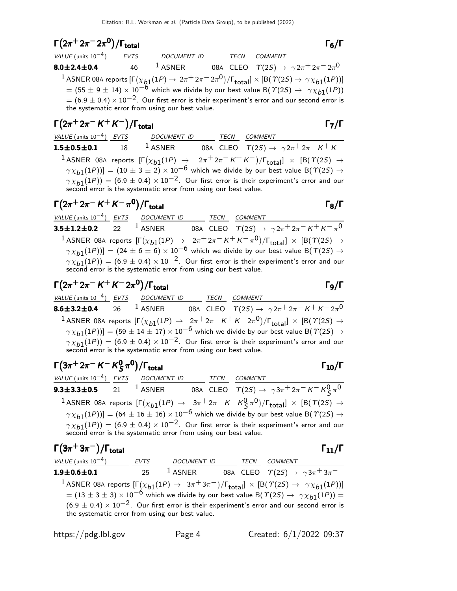$$
\Gamma(2\pi^+ 2\pi^- 2\pi^0)/\Gamma_{\text{total}}
$$

| $1(2\pi$ $2\pi$ $2\pi$ $1$ $\sigma$ $\sigma$                              |    |                                                                                                                                                           |      |                | 16/1                                                            |
|---------------------------------------------------------------------------|----|-----------------------------------------------------------------------------------------------------------------------------------------------------------|------|----------------|-----------------------------------------------------------------|
| VALUE (units $10^{-4}$ ) EVTS                                             |    | <b>DOCUMENT ID</b>                                                                                                                                        | TECN | <b>COMMENT</b> |                                                                 |
| $8.0 \pm 2.4 \pm 0.4$                                                     | 46 | $1$ ASNER                                                                                                                                                 |      |                | 08A CLEO $\Upsilon(2S) \rightarrow \gamma 2\pi^+ 2\pi^- 2\pi^0$ |
|                                                                           |    | 1 ASNER 08A reports $[\Gamma(\chi_{b1}(1P) \to 2\pi^+ 2\pi^- 2\pi^0)/\Gamma_{\text{total}}] \times [B(\Upsilon(2S) \to \gamma \chi_{b1}(1P))]$            |      |                |                                                                 |
|                                                                           |    | $=$ (55 $\pm$ 9 $\pm$ 14) $\times$ 10 <sup>-6</sup> which we divide by our best value B( $\Upsilon$ (2S) $\rightarrow$ $\gamma \chi_{b1}(1P)$ )           |      |                |                                                                 |
|                                                                           |    | $= (6.9 \pm 0.4) \times 10^{-2}$ . Our first error is their experiment's error and our second error is<br>the systematic error from using our best value. |      |                |                                                                 |
| $\Gamma(2\pi^+2\pi^ \mathcal{K}^+$ $\mathcal{K}^-)/\Gamma_{\text{total}}$ |    |                                                                                                                                                           |      |                | $\Gamma_7/\Gamma$                                               |

| VALUE (units $10^{-4}$ ) EVTS | DOCUMENT ID                                                     | TECN | COMMENT                                                                                                                                      |
|-------------------------------|-----------------------------------------------------------------|------|----------------------------------------------------------------------------------------------------------------------------------------------|
| $1.5 \pm 0.5 \pm 0.1$ 18      | $^1$ ASNER                                                      |      | 08A CLEO $\quadgamma(2S) \rightarrow \gamma 2\pi^+ 2\pi^- K^+ K^-$                                                                           |
|                               |                                                                 |      | <sup>1</sup> ASNER 08A reports $[\Gamma(\chi_{b1}(1P) \rightarrow 2\pi^+ 2\pi^- K^+ K^-)/\Gamma_{\text{total}}] \times [B(T(2S) \rightarrow$ |
|                               |                                                                 |      | $\gamma \chi_{b1}(1P)$ ] = (10 ± 3 ± 2) × 10 <sup>-6</sup> which we divide by our best value B( $\gamma$ (2S) $\rightarrow$                  |
|                               | second error is the systematic error from using our best value. |      | $\gamma \chi_{b1}(1P)$ ) = (6.9 ± 0.4) × 10 <sup>-2</sup> . Our first error is their experiment's error and our                              |

#### $\Gamma(2\pi^+ 2\pi^- K^+ K^- \pi^0)/\Gamma_{\text{total}}$  Γ<sub>8</sub>/Γ total and the set of the set of the set of the set of the set of the set of the set of the set of the set of t

VALUE (units  $10^{-4}$ ) EVTS DOCUMENT ID TECN COMMENT **3.5±1.2±0.2** 22 <sup>1</sup> ASNER 08A CLEO  $\varUpsilon(2S) \to \gamma 2\pi^+ 2\pi^- K^+ K^- \pi^0$ <sup>1</sup> ASNER 08A reports  $[\Gamma(\chi_{b1}(1P) \rightarrow 2\pi^+ 2\pi^- K^+ K^- \pi^0)/\Gamma_{\text{total}}] \times [B(\Upsilon(2S) \rightarrow$  $(\gamma \chi_{b1}(1P))] = (24 \pm 6 \pm 6) \times 10^{-6}$  which we divide by our best value B( $\gamma(2S) \rightarrow$  $\gamma \chi_{b1}(1P)$ ) = (6.9 ± 0.4) × 10<sup>-2</sup>. Our first error is their experiment's error and our second error is the systematic error from using our best value.

## $\Gamma(2\pi^+ 2\pi^- K^+ K^- 2\pi^0)/\Gamma_{\text{total}}$  Γg/Γ VALUE (units 10<sup>-4</sup>) EVTS DOCUMENT ID TECN COMMENT **8.6** $\pm$ **3.2** $\pm$ **0.4** 26  $^1$  ASNER 08A CLEO  $\varUpsilon(2S) \to \gamma 2\pi^+ 2\pi^- K^+ K^- 2\pi^0$  $1$  ASNER 08A reports  $[\Gamma(\chi_{b1}(1P) \to 2\pi^+ 2\pi^- K^+ K^- 2\pi^0)/\Gamma_{\rm total}]\times [B(\Upsilon(2S) \to$  $(\gamma \chi_{b1}(1P))] = (59 \pm 14 \pm 17) \times 10^{-6}$  which we divide by our best value B( $\gamma$ (25)  $\rightarrow$  $\gamma \chi_{b1}(1P)$ ) = (6.9 ± 0.4) × 10<sup>-2</sup>. Our first error is their experiment's error and our second error is the systematic error from using our best value.

| $\Gamma(3\pi^+ 2\pi^- K^- K^0_S \pi^0)/\Gamma_{\text{total}}$                                                                                                                      |                  |                    |  |                |                                                                                                                                                                                                                                                                                                                     | $\Gamma_{10}/\Gamma$ |
|------------------------------------------------------------------------------------------------------------------------------------------------------------------------------------|------------------|--------------------|--|----------------|---------------------------------------------------------------------------------------------------------------------------------------------------------------------------------------------------------------------------------------------------------------------------------------------------------------------|----------------------|
| VALUE (units $10^{-4}$ ) EVTS                                                                                                                                                      | DOCUMENT ID TECN |                    |  | <b>COMMENT</b> |                                                                                                                                                                                                                                                                                                                     |                      |
| $9.3 \pm 3.3 \pm 0.5$ 21                                                                                                                                                           |                  |                    |  |                | <sup>1</sup> ASNER 08A CLEO $\Upsilon(2S) \rightarrow \gamma 3\pi^+ 2\pi^- K^- K^0_S \pi^0$                                                                                                                                                                                                                         |                      |
| <sup>1</sup> ASNER 08A reports $[\Gamma(\chi_{b1}(1P) \to 3\pi^+ 2\pi^- K^- K^0 \zeta \pi^0)/\Gamma_{\text{total}}] \times [B(\Upsilon(2S) \to$                                    |                  |                    |  |                |                                                                                                                                                                                                                                                                                                                     |                      |
| $\gamma \chi_{b1}(1P)$ ] = (64 ± 16 ± 16) × 10 <sup>-6</sup> which we divide by our best value B( $\gamma$ (2S) $\rightarrow$                                                      |                  |                    |  |                |                                                                                                                                                                                                                                                                                                                     |                      |
| $\gamma \chi_{b1}(1P)$ ) = (6.9 ± 0.4) × 10 <sup>-2</sup> . Our first error is their experiment's error and our<br>second error is the systematic error from using our best value. |                  |                    |  |                |                                                                                                                                                                                                                                                                                                                     |                      |
| $\Gamma(3\pi^+3\pi^-)/\Gamma_{\rm total}$                                                                                                                                          |                  |                    |  |                |                                                                                                                                                                                                                                                                                                                     | $\Gamma_{11}/\Gamma$ |
| <i>VALUE</i> (units $10^{-4}$ )                                                                                                                                                    | <b>EVTS</b>      | <b>DOCUMENT ID</b> |  | <b>TECN</b>    | COMMENT                                                                                                                                                                                                                                                                                                             |                      |
| 10⊥0 בר 1                                                                                                                                                                          | <b>OF</b>        | $1$ acned          |  |                | $\frac{1}{2}$ $\frac{1}{2}$ $\frac{1}{2}$ $\frac{1}{2}$ $\frac{1}{2}$ $\frac{1}{2}$ $\frac{1}{2}$ $\frac{1}{2}$ $\frac{1}{2}$ $\frac{1}{2}$ $\frac{1}{2}$ $\frac{1}{2}$ $\frac{1}{2}$ $\frac{1}{2}$ $\frac{1}{2}$ $\frac{1}{2}$ $\frac{1}{2}$ $\frac{1}{2}$ $\frac{1}{2}$ $\frac{1}{2}$ $\frac{1}{2}$ $\frac{1}{2}$ |                      |

| $1.9 \pm 0.6 \pm 0.1$ | 25 $1$ ASNER                                    | 08A CLEO $\Upsilon(2S) \rightarrow \gamma 3\pi^+ 3\pi^-$                                                                                          |  |
|-----------------------|-------------------------------------------------|---------------------------------------------------------------------------------------------------------------------------------------------------|--|
|                       |                                                 | <sup>1</sup> ASNER 08A reports $[\Gamma(\chi_{b1}(1P) \to 3\pi^+3\pi^-)/\Gamma_{\text{total}}] \times [B(\Upsilon(2S) \to \gamma \chi_{b1}(1P))]$ |  |
|                       |                                                 | $=$ $(13 \pm 3 \pm 3) \times 10^{-6}$ which we divide by our best value B( $\Upsilon(25) \rightarrow \gamma \chi_{b1}(1P)$ ) =                    |  |
|                       | the systematic error from using our best value. | $(6.9 \pm 0.4) \times 10^{-2}$ . Our first error is their experiment's error and our second error is                                              |  |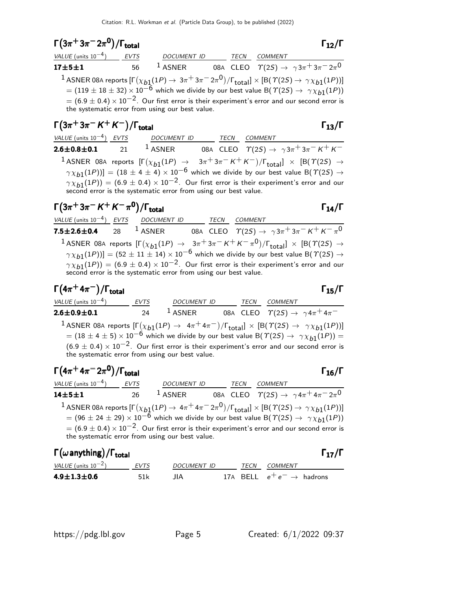$$
\Gamma(3\pi^+3\pi^-2\pi^0)/\Gamma_{\text{total}}
$$

 $(3\pi^+3\pi^-2\pi^0)/\Gamma_{\rm total}$  Γ<sub>12</sub>/Γ  $(12.7 \text{ m})^2 / \Gamma_{\text{total}}$  Γ $_{12} / \Gamma$ total and  $12/1$ VALUE (units 10<sup>-4</sup>) EVTS DOCUMENT ID TECN COMMENT  ${\bf 17{\pm}5{\pm}1}$  56  $^{\text{1}}$  ASNER 08A CLEO  $\varUpsilon(2S)\rightarrow\ \gamma\,3\pi^{\text{+}}\,3\pi^{\text{+}}\,2\pi^{\text{0}}$ 

 $^1$  ASNER 08A reports  $[\Gamma(\chi_{b1}(1P) \to 3\pi^+ 3\pi^- 2\pi^0)/\Gamma_{\rm total}]\times[{\cal B}(\Upsilon(2S) \to \gamma\chi_{b1}(1P))]$  $= (119 \pm 18 \pm 32) \times 10^{-6}$  which we divide by our best value B( $\Upsilon(2S) \rightarrow \gamma \chi_{b1}(1P)$ )  $= (6.9 \pm 0.4) \times 10^{-2}$ . Our first error is their experiment's error and our second error is the systematic error from using our best value.

# $\Gamma(3\pi^+3\pi^- K^+ K^-)/\Gamma_{\text{total}}$

VALUE (units 10<sup>-4</sup>) <u>EVTS</u> DOCUMENT ID TECN COMMENT **2.6±0.8±0.1** 21 <sup>1</sup> ASNER 08A CLEO  $\Upsilon(2S) \to \gamma 3\pi^+ 3\pi^- K^+ K^ 1$  ASNER 08A reports  $[\Gamma(\chi_{b1}(1P) \rightarrow 3\pi^+3\pi^- K^+ K^-)/\Gamma_{\text{total}}] \times [B(\Upsilon(2S) \rightarrow$  $(\gamma \chi_{b1}(1P))] = (18 \pm 4 \pm 4) \times 10^{-6}$  which we divide by our best value B( $\gamma(2S) \rightarrow$  $\gamma \chi_{b1}(1P)$ ) = (6.9 ± 0.4) × 10<sup>-2</sup>. Our first error is their experiment's error and our second error is the systematic error from using our best value.

# $\Gamma(3\pi^+3\pi^- K^+ K^-\pi^0)/\Gamma_{\text{total}}$  Γ<sub>14</sub>/Γ

VALUE (units  $10^{-4}$ ) EVTS DOCUMENT ID TECN COMMENT **7.5** $\pm$ **2.6** $\pm$ **0.4** 28 <sup>1</sup> ASNER 08A CLEO  $\varUpsilon(2S) \to \gamma 3\pi^+ 3\pi^- K^+ K^- \pi^0$  $1$  ASNER 08A reports  $[\Gamma(\chi_{b1}(1P) \rightarrow 3\pi + 3\pi - K + K - \pi^0)/\Gamma_{\text{total}}] \times [B(\Upsilon(2S) \rightarrow$  $(\gamma \chi_{b1}(1P))] = (52 \pm 11 \pm 14) \times 10^{-6}$  which we divide by our best value B( $\gamma$ (2S)  $\rightarrow$  $\gamma \chi_{b1}(1P)$ ) = (6.9 ± 0.4) × 10<sup>-2</sup>. Our first error is their experiment's error and our  $\frac{1}{2}$  second error is the systematic error from using our best value.

### $\Gamma(4\pi^+4\pi^-)/\Gamma_{\rm total}$  Γ<sub>15</sub>/Γ  $\Gamma$ <sub>total</sub> Γ<sub>15</sub>/Γ

 $\frac{VALUE \text{ (units 10}^{-4})}{2.6 \pm 0.9 \pm 0.1}$  EVTS  $\frac{DOCUMENT \text{ ID}}{24}$   $\frac{TECN}{1}$   $\frac{TECN}{0.84}$   $\frac{COMMENT}{C(2S) \rightarrow 7}$ **2.6±0.9±0.1** 24 1 ASNER 08A CLEO  $\overline{\gamma(2S)} \to \gamma 4\pi^+ 4\pi^ ^1$  ASNER 08A reports  $[\Gamma(\chi_{b1}(1P) \to 4\pi^+4\pi^-)/\Gamma_{\rm total}]\times[{\cal B}(\Upsilon(2S) \to \ \gamma\chi_{b1}(1P))]$  $= (18 \pm 4 \pm 5) \times 10^{-6}$  which we divide by our best value B( $\Upsilon(25) \rightarrow \gamma \chi_{b1}(1P)$ ) =  $(6.9 \pm 0.4) \times 10^{-2}$ . Our first error is their experiment's error and our second error is the systematic error from using our best value.

| $\Gamma(4\pi^+ 4\pi^- 2\pi^0)/\Gamma_{\rm total}$ |    |                                                                                                                                                                                                                                                                                                                                                                                                                                                        |      |                | $\Gamma_{16}/\Gamma$                                            |
|---------------------------------------------------|----|--------------------------------------------------------------------------------------------------------------------------------------------------------------------------------------------------------------------------------------------------------------------------------------------------------------------------------------------------------------------------------------------------------------------------------------------------------|------|----------------|-----------------------------------------------------------------|
| VALUE (units $10^{-4}$ ) EVTS                     |    | <b>DOCUMENT ID</b>                                                                                                                                                                                                                                                                                                                                                                                                                                     | TECN | <b>COMMENT</b> |                                                                 |
| $14 + 5 + 1$                                      | 26 | $1$ ASNER                                                                                                                                                                                                                                                                                                                                                                                                                                              |      |                | 08A CLEO $\Upsilon(2S) \rightarrow \gamma 4\pi^+ 4\pi^- 2\pi^0$ |
|                                                   |    | <sup>1</sup> ASNER 08A reports $[\Gamma(\chi_{b1}(1P) \to 4\pi^+ 4\pi^- 2\pi^0)/\Gamma_{\text{total}}] \times [B(\Upsilon(2S) \to \gamma \chi_{b1}(1P))]$<br>$= (96 \pm 24 \pm 29) \times 10^{-6}$ which we divide by our best value B( $\Upsilon(25) \rightarrow \gamma \chi_{b1}(1P)$ )<br>$= (6.9 \pm 0.4) \times 10^{-2}$ . Our first error is their experiment's error and our second error is<br>the systematic error from using our best value. |      |                |                                                                 |

| $\Gamma(\omega \text{anything})/\Gamma_{\text{total}}$ |       |             |      |                                       | $\Gamma_{17}/\Gamma$ |
|--------------------------------------------------------|-------|-------------|------|---------------------------------------|----------------------|
| VALUE (units $10^{-2}$ )                               | EVTS  | DOCUMENT ID | TECN | <i>COMMENT</i>                        |                      |
| 4.9 $\pm$ 1.3 $\pm$ 0.6                                | .51 k | ШA          |      | 17A BELL $e^+e^- \rightarrow$ hadrons |                      |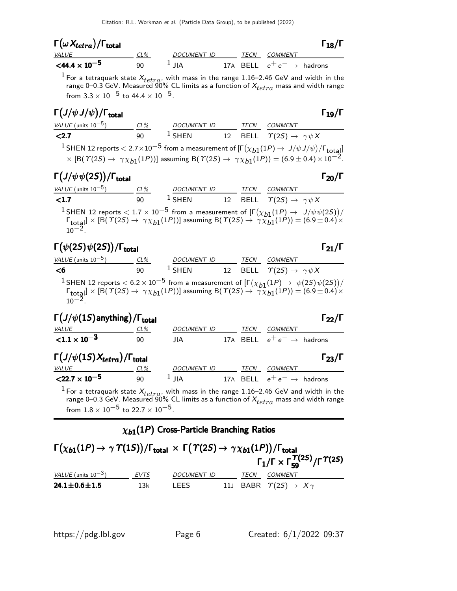| $\Gamma(\omega X_{tetra})/\Gamma_{\rm total}$ |     |             |             |                                       | $\Gamma_{18}/\Gamma$ |
|-----------------------------------------------|-----|-------------|-------------|---------------------------------------|----------------------|
| <i>VALUE</i>                                  | CL% | DOCUMENT ID | <b>TFCN</b> | COMMENT                               |                      |
| $<$ 44.4 $\times$ 10 <sup>-5</sup>            | ۹N  | $\perp$ IIA |             | 17A BELL $e^+e^- \rightarrow$ hadrons |                      |

<sup>1</sup> For a tetraquark state  $X_{tetra}$ , with mass in the range 1.16–2.46 GeV and width in the range 0–0.3 GeV. Measured 90% CL limits as a function of  $X_{tetra}$  mass and width range from  $3.3 \times 10^{-5}$  to  $44.4 \times 10^{-5}$ .

# $\Gamma(J/\psi\,J/\psi)/\Gamma_{\rm total}$  Γ<sub>19</sub>/Γ

| VALUE (units $10^{-5}$ ) | $CL\%$ | <b>DOCUMENT ID</b> | TECN | <b>COMMENT</b>                                                                                                                                                                                                                                                                                          |
|--------------------------|--------|--------------------|------|---------------------------------------------------------------------------------------------------------------------------------------------------------------------------------------------------------------------------------------------------------------------------------------------------------|
| < 2.7                    | 90     | $1$ SHEN           |      | 12 BELL $\Upsilon(2S) \rightarrow \gamma \psi X$                                                                                                                                                                                                                                                        |
|                          |        |                    |      | <sup>1</sup> SHEN 12 reports $<$ 2.7 $\times$ 10 <sup>-5</sup> from a measurement of $[\Gamma(\chi_{b1}(1P) \to J/\psi J/\psi)/\Gamma_{\text{total}}]$<br>$\times$ [B( $\Upsilon(2S) \to \gamma \chi_{b1}(1P))$ ] assuming B( $\Upsilon(2S) \to \gamma \chi_{b1}(1P)) = (6.9 \pm 0.4) \times 10^{-2}$ . |
|                          |        |                    |      |                                                                                                                                                                                                                                                                                                         |

# Γ $(J/\psi \psi(2S))$ /Γ<sub>total</sub> Γ<sub>20</sub>/Γ

| VALUE (units $10^{-5}$ ) | CL% | <i>DOCUMENT ID</i> | TFCN | COMMENT                                          |
|--------------------------|-----|--------------------|------|--------------------------------------------------|
| < 1.7                    | 90  | $^1$ SHEN          |      | 12 BELL $\Upsilon(2S) \rightarrow \gamma \psi X$ |

<sup>1</sup>SHEN 12 reports  $\langle 1.7 \times 10^{-5}$  from a measurement of  $\left[ \Gamma(\chi_{b1}(1P) \to J/\psi \psi(2S)) \right]$  $\Gamma_{\text{total}} \times [\text{B}(\text{T}(2S) \rightarrow \gamma \chi_{b1}(1P))]$  assuming  $\text{B}(\text{T}(2S) \rightarrow \gamma \chi_{b1}(1P)) = (6.9 \pm 0.4) \times$  $10^{-2}$ .

# Γ $(\psi(2S)\psi(2S))$ /Γ<sub>total</sub> Γ<sub>21</sub>/Γ

| l ( $\psi$ (23) $\psi$ (23))/l <sub>total</sub> |          |             |  |      |                                                            |  |
|-------------------------------------------------|----------|-------------|--|------|------------------------------------------------------------|--|
| $VALUE$ (units $10^{-5}$ )                      | CL%      | DOCUMENT ID |  | TECN | COMMENT                                                    |  |
| <6                                              | ۹N       | $1$ SHEN    |  |      | 12 BELL $\Upsilon(2S) \rightarrow \gamma \psi X$           |  |
| 1.                                              | aa sa ha |             |  |      | $\mathbf{r} = \begin{pmatrix} 1 & 1 & 1 & 1 \end{pmatrix}$ |  |

<sup>1</sup>SHEN 12 reports  $< 6.2 \times 10^{-5}$  from a measurement of  $\left[\Gamma(\chi_{b1}(1P) \to \psi(2S)\psi(2S)) / \right]$  $\Gamma_{\text{total}} \times [\text{B}(\text{T}(2S) \rightarrow \text{T} \chi_{b1}(1P))]$  assuming  $\text{B}(\text{T}(2S) \rightarrow \text{T} \chi_{b1}(1P)) = (6.9 \pm 0.4) \times$  $10^{-2}$ .

| $\Gamma\left(J/\psi(1S)\right)$ anything) / $\Gamma\left(3\right)$ |        |                    |  |          |                                       | $\Gamma_{22}/I$      |
|--------------------------------------------------------------------|--------|--------------------|--|----------|---------------------------------------|----------------------|
| VALUE                                                              | $CL\%$ | <b>DOCUMENT ID</b> |  | TECN     | COMMENT                               |                      |
| ${1.1 \times 10^{-3}}$                                             | 90     | JIA.               |  |          | 17A BELL $e^+e^- \rightarrow$ hadrons |                      |
| $\Gamma(J/\psi(1S)X_{tetra})/\Gamma_{\rm total}$                   |        |                    |  |          |                                       | $\Gamma_{23}/\Gamma$ |
| <b>VALUE</b>                                                       | $CL\%$ | <b>DOCUMENT ID</b> |  | TECN     | <i>COMMENT</i>                        |                      |
| $<$ 22.7 $\times$ 10 <sup>-5</sup>                                 | 90     | $1$ JIA            |  | 17A BELL | $e^+e^- \rightarrow$ hadrons          |                      |

<sup>1</sup> For a tetraquark state  $X_{tetra}$ , with mass in the range 1.16–2.46 GeV and width in the range 0–0.3 GeV. Measured 90% CL limits as a function of  $X_{tetra}$  mass and width range from  $1.8 \times 10^{-5}$  to  $22.7 \times 10^{-5}$ .

## $\chi_{b1}(1P)$  Cross-Particle Branching Ratios

| $\Gamma(\chi_{b1}(1P) \to \gamma \Upsilon(1S))/\Gamma_{\text{total}} \times \Gamma(\Upsilon(2S) \to \gamma \chi_{b1}(1P))/\Gamma_{\text{total}}$ |      |                    |      |                                             | $\Gamma_1/\Gamma \times \Gamma_{59}^{T(2S)}/\Gamma^{T(2S)}$ |
|--------------------------------------------------------------------------------------------------------------------------------------------------|------|--------------------|------|---------------------------------------------|-------------------------------------------------------------|
| VALUE (units $10^{-3}$ )                                                                                                                         | EVTS | <b>DOCUMENT ID</b> | TECN | COMMENT                                     |                                                             |
| $24.1 \pm 0.6 \pm 1.5$                                                                                                                           | 13k  | LEES               |      | 11J BABR $\Upsilon(2S) \rightarrow X\gamma$ |                                                             |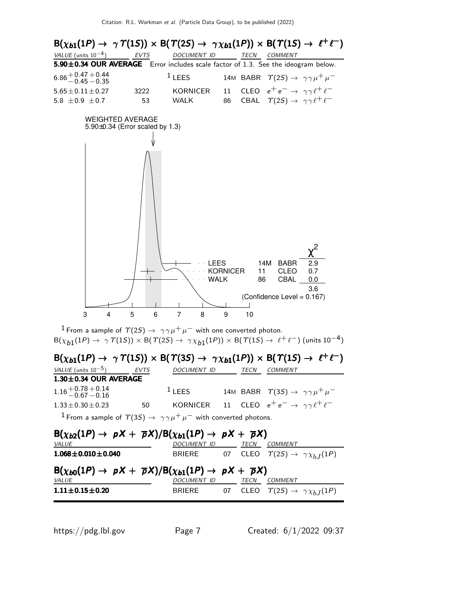

<sup>1</sup> From a sample of  $\Upsilon(2S) \rightarrow \gamma \gamma \mu^+ \mu^-$  with one converted photon.  $B(\chi_{b1}(1P) \to \gamma \varUpsilon(1S)) \times B(\varUpsilon(2S) \to \gamma \chi_{b1}(1P)) \times B(\varUpsilon(1S) \to \ell^+ \ell^-)$  (units  $10^{-4}$ )

|                                                                                                   |      |                                                                                                            |      | $B(\chi_{b1}(1P) \rightarrow \gamma \Upsilon(1S)) \times B(\Upsilon(3S) \rightarrow \gamma \chi_{b1}(1P)) \times B(\Upsilon(1S) \rightarrow \ell^+ \ell^-)$ |
|---------------------------------------------------------------------------------------------------|------|------------------------------------------------------------------------------------------------------------|------|-------------------------------------------------------------------------------------------------------------------------------------------------------------|
| VALUE (units $10^{-5}$ )                                                                          | EVTS | <b>DOCUMENT ID</b>                                                                                         | TECN | <b>COMMENT</b>                                                                                                                                              |
| $1.30 \pm 0.34$ OUR AVERAGE                                                                       |      |                                                                                                            |      |                                                                                                                                                             |
| $1.16 + 0.78 + 0.14$<br>$-0.67 - 0.16$                                                            |      | $1$ LEES                                                                                                   |      | 14M BABR $\Upsilon(35) \rightarrow \gamma \gamma \mu^+ \mu^-$                                                                                               |
| $1.33 \pm 0.30 \pm 0.23$                                                                          | 50   |                                                                                                            |      | KORNICER 11 CLEO $e^+e^- \rightarrow \gamma \gamma \ell^+ \ell^-$                                                                                           |
|                                                                                                   |      | <sup>1</sup> From a sample of $\Upsilon(35) \rightarrow \gamma \gamma \mu^+ \mu^-$ with converted photons. |      |                                                                                                                                                             |
| $B(\chi_{b2}(1P) \rightarrow pX + \overline{p}X)/B(\chi_{b1}(1P) \rightarrow pX + \overline{p}X)$ |      |                                                                                                            |      |                                                                                                                                                             |

| $-$ \ADZ\=' ) ' $P$ ''   $P$ ''   $-$ \ADI\=' ) ' $P$ ''   $P$ ''                                 |                    |      |                                                          |
|---------------------------------------------------------------------------------------------------|--------------------|------|----------------------------------------------------------|
| <i>VALUE</i>                                                                                      | DOCUMENT ID        | TECN | <i>COMMENT</i>                                           |
| $1.068 \pm 0.010 \pm 0.040$                                                                       | BRIERE             |      | 07 CLEO $\Upsilon(2S) \rightarrow \gamma \chi_{h,I}(1P)$ |
| $B(\chi_{b0}(1P) \rightarrow pX + \overline{p}X)/B(\chi_{b1}(1P) \rightarrow pX + \overline{p}X)$ |                    |      |                                                          |
|                                                                                                   |                    |      |                                                          |
| VALUE                                                                                             | <i>DOCUMENT ID</i> | TECN | <i>COMMENT</i>                                           |